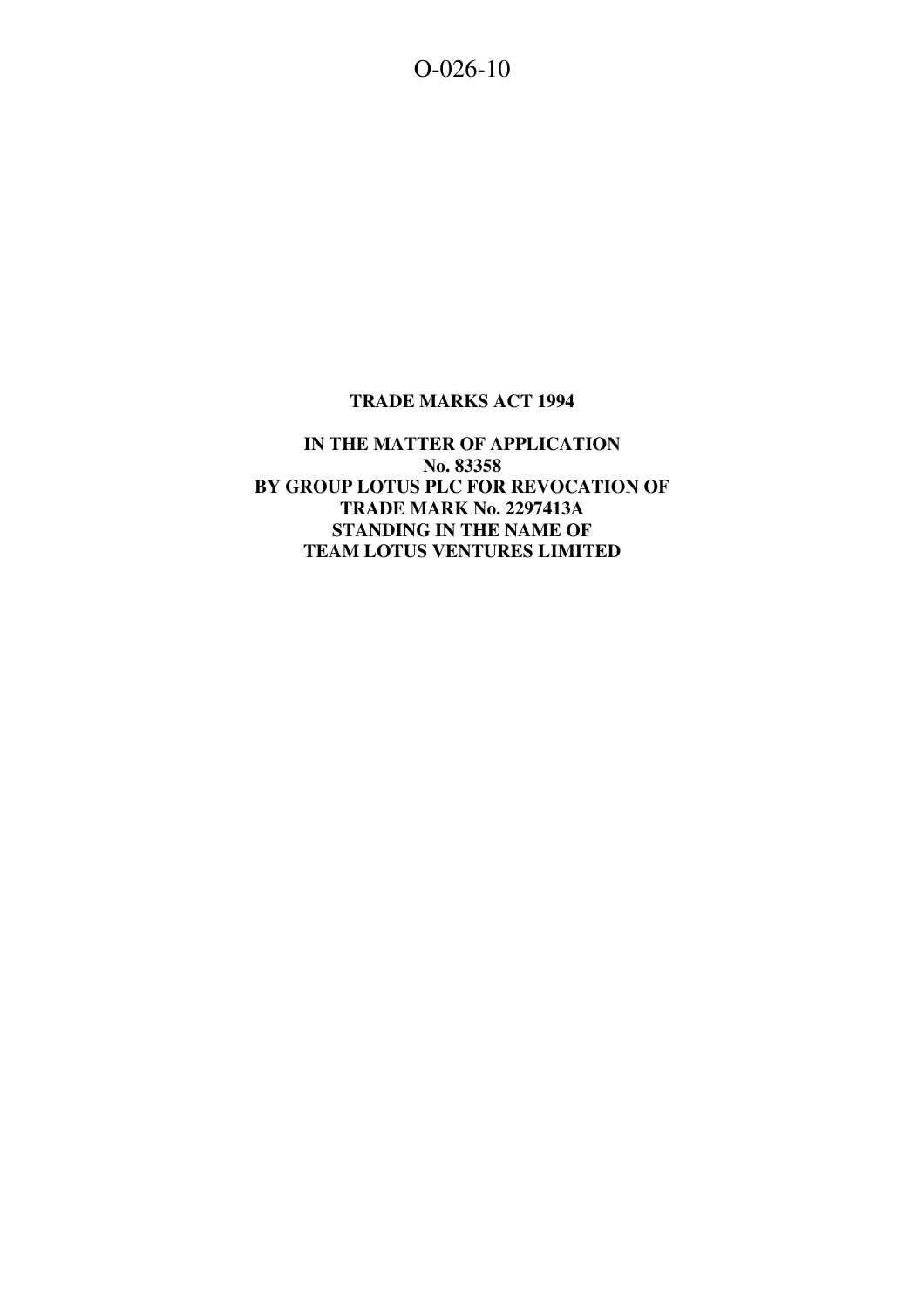O-026-10

## **TRADE MARKS ACT 1994**

**IN THE MATTER OF APPLICATION No. 83358 BY GROUP LOTUS PLC FOR REVOCATION OF TRADE MARK No. 2297413A STANDING IN THE NAME OF TEAM LOTUS VENTURES LIMITED**